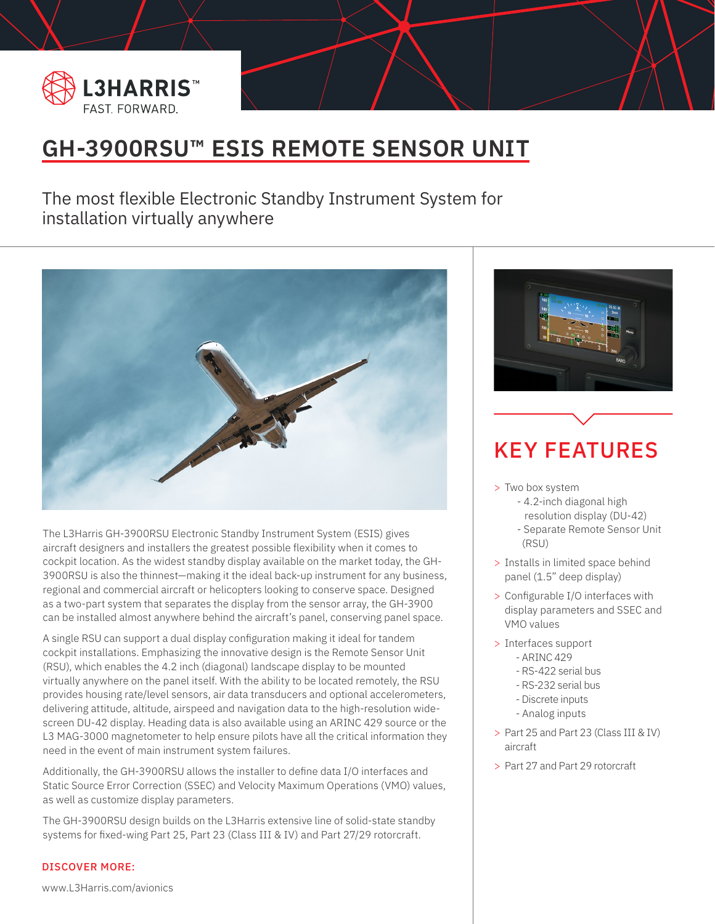

BANNER PLACEHOLDER

## **GH-3900RSU™ ESIS REMOTE SENSOR UNIT**

The most flexible Electronic Standby Instrument System for installation virtually anywhere



The L3Harris GH-3900RSU Electronic Standby Instrument System (ESIS) gives aircraft designers and installers the greatest possible flexibility when it comes to cockpit location. As the widest standby display available on the market today, the GH-3900RSU is also the thinnest—making it the ideal back-up instrument for any business, regional and commercial aircraft or helicopters looking to conserve space. Designed as a two-part system that separates the display from the sensor array, the GH-3900 can be installed almost anywhere behind the aircraft's panel, conserving panel space.

A single RSU can support a dual display configuration making it ideal for tandem cockpit installations. Emphasizing the innovative design is the Remote Sensor Unit (RSU), which enables the 4.2 inch (diagonal) landscape display to be mounted virtually anywhere on the panel itself. With the ability to be located remotely, the RSU provides housing rate/level sensors, air data transducers and optional accelerometers, delivering attitude, altitude, airspeed and navigation data to the high-resolution widescreen DU-42 display. Heading data is also available using an ARINC 429 source or the L3 MAG-3000 magnetometer to help ensure pilots have all the critical information they need in the event of main instrument system failures.

Additionally, the GH-3900RSU allows the installer to define data I/O interfaces and Static Source Error Correction (SSEC) and Velocity Maximum Operations (VMO) values, as well as customize display parameters.

The GH-3900RSU design builds on the L3Harris extensive line of solid-state standby systems for fixed-wing Part 25, Part 23 (Class III & IV) and Part 27/29 rotorcraft.

### DISCOVER MORE:

www.L3Harris.com/avionics



# KEY FEATURES

- > Two box system
	- 4.2-inch diagonal high resolution display (DU-42)
	- Separate Remote Sensor Unit (RSU)
- > Installs in limited space behind panel (1.5" deep display)
- > Configurable I/O interfaces with display parameters and SSEC and VMO values
- > Interfaces support
	- ARINC 429
	- RS-422 serial bus
	- RS-232 serial bus
	- Discrete inputs
	- Analog inputs
- > Part 25 and Part 23 (Class III & IV) aircraft
- > Part 27 and Part 29 rotorcraft